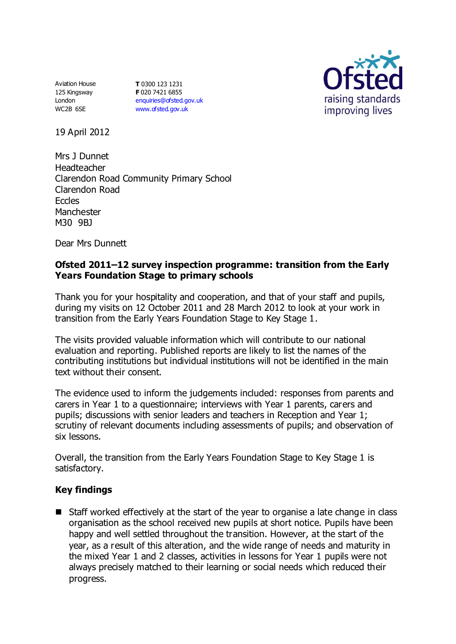Aviation House 125 Kingsway London WC2B 6SE

**T** 0300 123 1231 **F** 020 7421 6855 [enquiries@ofsted.gov.uk](mailto:enquiries@ofsted.gov.uk) [www.ofsted.gov.uk](http://www.ofsted.gov.uk/)



19 April 2012

Mrs J Dunnet Headteacher Clarendon Road Community Primary School Clarendon Road **Eccles Manchester** M30 9BJ

Dear Mrs Dunnett

## **Ofsted 2011–12 survey inspection programme: transition from the Early Years Foundation Stage to primary schools**

Thank you for your hospitality and cooperation, and that of your staff and pupils, during my visits on 12 October 2011 and 28 March 2012 to look at your work in transition from the Early Years Foundation Stage to Key Stage 1.

The visits provided valuable information which will contribute to our national evaluation and reporting. Published reports are likely to list the names of the contributing institutions but individual institutions will not be identified in the main text without their consent.

The evidence used to inform the judgements included: responses from parents and carers in Year 1 to a questionnaire; interviews with Year 1 parents, carers and pupils; discussions with senior leaders and teachers in Reception and Year 1; scrutiny of relevant documents including assessments of pupils; and observation of six lessons.

Overall, the transition from the Early Years Foundation Stage to Key Stage 1 is satisfactory.

## **Key findings**

■ Staff worked effectively at the start of the year to organise a late change in class organisation as the school received new pupils at short notice. Pupils have been happy and well settled throughout the transition. However, at the start of the year, as a result of this alteration, and the wide range of needs and maturity in the mixed Year 1 and 2 classes, activities in lessons for Year 1 pupils were not always precisely matched to their learning or social needs which reduced their progress.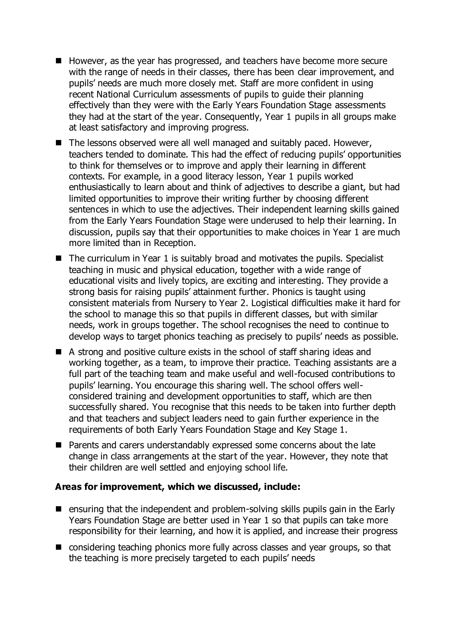- However, as the year has progressed, and teachers have become more secure with the range of needs in their classes, there has been clear improvement, and pupils' needs are much more closely met. Staff are more confident in using recent National Curriculum assessments of pupils to guide their planning effectively than they were with the Early Years Foundation Stage assessments they had at the start of the year. Consequently, Year 1 pupils in all groups make at least satisfactory and improving progress.
- The lessons observed were all well managed and suitably paced. However, teachers tended to dominate. This had the effect of reducing pupils' opportunities to think for themselves or to improve and apply their learning in different contexts. For example, in a good literacy lesson, Year 1 pupils worked enthusiastically to learn about and think of adjectives to describe a giant, but had limited opportunities to improve their writing further by choosing different sentences in which to use the adjectives. Their independent learning skills gained from the Early Years Foundation Stage were underused to help their learning. In discussion, pupils say that their opportunities to make choices in Year 1 are much more limited than in Reception.
- $\blacksquare$  The curriculum in Year 1 is suitably broad and motivates the pupils. Specialist teaching in music and physical education, together with a wide range of educational visits and lively topics, are exciting and interesting. They provide a strong basis for raising pupils' attainment further. Phonics is taught using consistent materials from Nursery to Year 2. Logistical difficulties make it hard for the school to manage this so that pupils in different classes, but with similar needs, work in groups together. The school recognises the need to continue to develop ways to target phonics teaching as precisely to pupils' needs as possible.
- A strong and positive culture exists in the school of staff sharing ideas and working together, as a team, to improve their practice. Teaching assistants are a full part of the teaching team and make useful and well-focused contributions to pupils' learning. You encourage this sharing well. The school offers wellconsidered training and development opportunities to staff, which are then successfully shared. You recognise that this needs to be taken into further depth and that teachers and subject leaders need to gain further experience in the requirements of both Early Years Foundation Stage and Key Stage 1.
- Parents and carers understandably expressed some concerns about the late change in class arrangements at the start of the year. However, they note that their children are well settled and enjoying school life.

## **Areas for improvement, which we discussed, include:**

- **E** ensuring that the independent and problem-solving skills pupils gain in the Early Years Foundation Stage are better used in Year 1 so that pupils can take more responsibility for their learning, and how it is applied, and increase their progress
- considering teaching phonics more fully across classes and year groups, so that the teaching is more precisely targeted to each pupils' needs